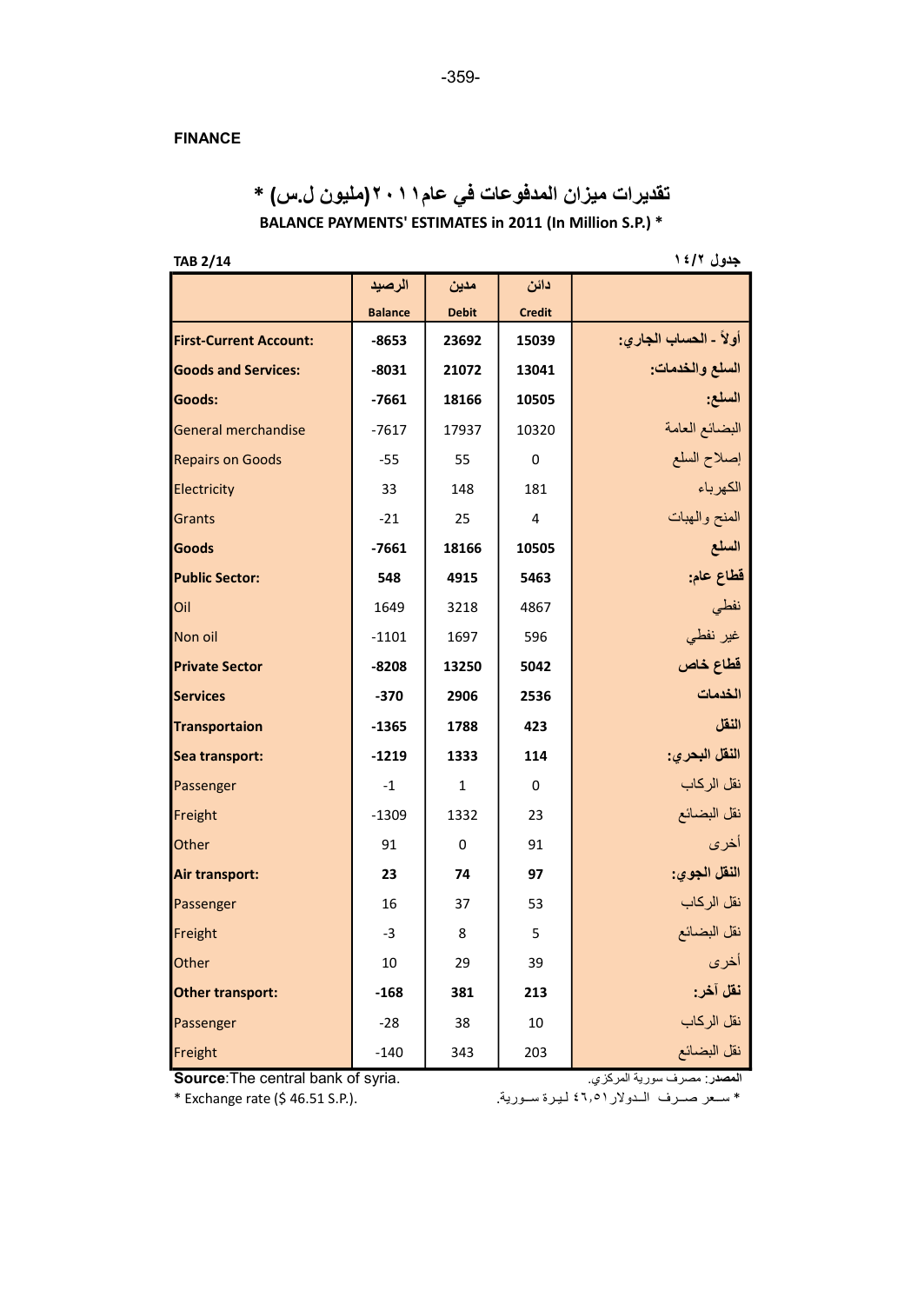## FINANCE

BALANCE PAYMENTS' ESTIMATES in 2011 (In Million S.P.) \* تقديرات ميزان المدفوعات في عام٢٠١١(مليون ل.س) \*

جدول ١٤/٢ هـ - 148 هـ - 148 هـ - 148 هـ - 148 هـ - 148 هـ - 148 هـ - 148 هـ - 148 هـ - 148 هـ - 148 هـ - 148 ه<br>حدول عليه

|                               | الرصيد         | مدين         | دائن          |                       |
|-------------------------------|----------------|--------------|---------------|-----------------------|
|                               | <b>Balance</b> | <b>Debit</b> | <b>Credit</b> |                       |
| <b>First-Current Account:</b> | $-8653$        | 23692        | 15039         | أولأ - الحساب الجاري: |
| <b>Goods and Services:</b>    | $-8031$        | 21072        | 13041         | السلع والخدمات:       |
| Goods:                        | $-7661$        | 18166        | 10505         | السلع:                |
| General merchandise           | $-7617$        | 17937        | 10320         | البضائع العامة        |
| <b>Repairs on Goods</b>       | $-55$          | 55           | $\Omega$      | إصلاح السلع           |
| Electricity                   | 33             | 148          | 181           | الكهرباء              |
| Grants                        | $-21$          | 25           | 4             | المنح والهبات         |
| <b>Goods</b>                  | $-7661$        | 18166        | 10505         | السلع                 |
| <b>Public Sector:</b>         | 548            | 4915         | 5463          | قطاع عام:             |
| Oil                           | 1649           | 3218         | 4867          | نفطى                  |
| Non oil                       | $-1101$        | 1697         | 596           | غیر نفطی              |
| <b>Private Sector</b>         | $-8208$        | 13250        | 5042          | قطاع خاص              |
| <b>Services</b>               | $-370$         | 2906         | 2536          | الخدمات               |
| <b>Transportaion</b>          | $-1365$        | 1788         | 423           | النقل                 |
| Sea transport:                | $-1219$        | 1333         | 114           | النقل البحري:         |
| Passenger                     | $-1$           | $\mathbf{1}$ | $\Omega$      | نقل الركاب            |
| Freight                       | $-1309$        | 1332         | 23            | نقل البضائع           |
| Other                         | 91             | $\Omega$     | 91            | أخرى                  |
| <b>Air transport:</b>         | 23             | 74           | 97            | النقل الجوى:          |
| Passenger                     | 16             | 37           | 53            | نقل الركاب            |
| Freight                       | $-3$           | 8            | 5             | نقل البضائع           |
| Other                         | 10             | 29           | 39            | أخرى                  |
| <b>Other transport:</b>       | $-168$         | 381          | 213           | نقل آخر:              |
| Passenger                     | $-28$          | 38           | 10            | نقل الركاب            |
| Freight                       | $-140$         | 343          | 203           | نقل البضائع           |

Source:The central bank of syria. .المركزي سورية مصرف :المصدر

\* سـعر صـرف الـدولار ٤٦٫٥١ ليرة سـورية. . .(.P.S + Exchange rate (\$ 46.51 S.P.)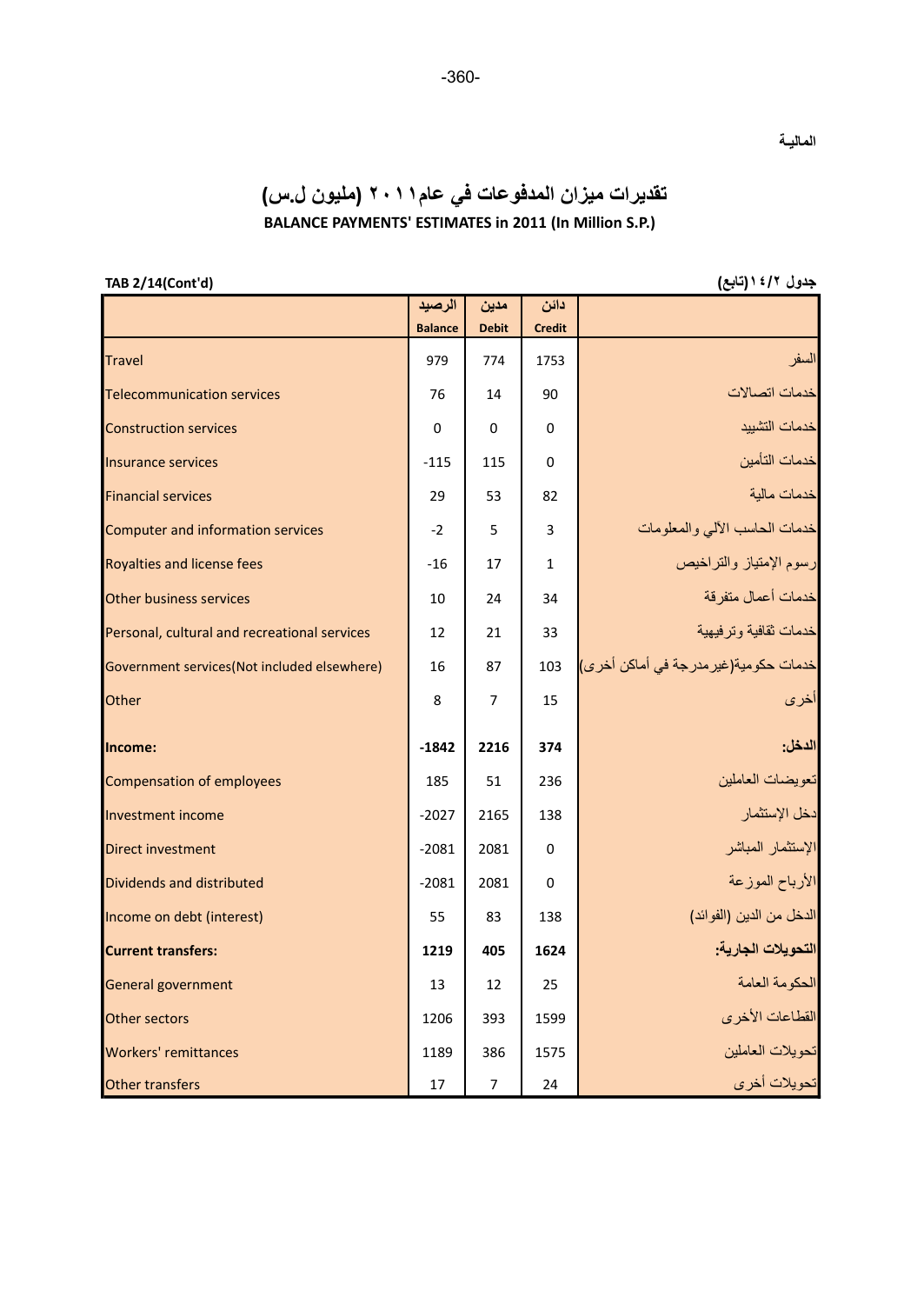## تقديرات ميزان المدفوعات في عام٢٠١١ (مليون ل.س) BALANCE PAYMENTS' ESTIMATES in 2011 (In Million S.P.)

جدول ١٤/٢ (رتابع) (13/14(Cont'd)

الماليـة

|                                              | الرصيد         | مدين           | دائن          |                                       |
|----------------------------------------------|----------------|----------------|---------------|---------------------------------------|
|                                              | <b>Balance</b> | <b>Debit</b>   | <b>Credit</b> |                                       |
| <b>Travel</b>                                | 979            | 774            | 1753          | السفر                                 |
| <b>Telecommunication services</b>            | 76             | 14             | 90            | خدمات اتصالات                         |
| <b>Construction services</b>                 | $\Omega$       | $\Omega$       | 0             | خدمات التشييد                         |
| <b>Insurance services</b>                    | $-115$         | 115            | 0             | خدمات التأمين                         |
| <b>Financial services</b>                    | 29             | 53             | 82            | خدمات مالية                           |
| <b>Computer and information services</b>     | $-2$           | 5              | 3             | خدمات الحاسب الألي والمعلومات         |
| Royalties and license fees                   | $-16$          | 17             | $\mathbf{1}$  | رسوم الإمتياز والتراخيص               |
| <b>Other business services</b>               | 10             | 24             | 34            | خدمات أعمال متفرقة                    |
| Personal, cultural and recreational services | 12             | 21             | 33            | خدمات ثقافية وترفيهية                 |
| Government services(Not included elsewhere)  | 16             | 87             | 103           | خدمات حكومية(غير مدرجة في أماكن أخرى) |
| Other                                        | 8              | $\overline{7}$ | 15            | الخرى                                 |
| Income:                                      | $-1842$        | 2216           | 374           | الدخل:                                |
| <b>Compensation of employees</b>             | 185            | 51             | 236           | تعويضات العاملين                      |
| <b>Investment income</b>                     | $-2027$        | 2165           | 138           | دخل الإستثمار                         |
| <b>Direct investment</b>                     | $-2081$        | 2081           | $\Omega$      | الإستثمار المباشر                     |
| Dividends and distributed                    | $-2081$        | 2081           | $\Omega$      | الأرباح الموزعة                       |
| Income on debt (interest)                    | 55             | 83             | 138           | الدخل من الدين (الفوائد)              |
| <b>Current transfers:</b>                    | 1219           | 405            | 1624          | التحويلات الجارية:                    |
| General government                           | 13             | 12             | 25            | الحكومة العامة                        |
| Other sectors                                | 1206           | 393            | 1599          | القطاعات الأخرى                       |
| Workers' remittances                         | 1189           | 386            | 1575          | تحويلات العاملين                      |
| Other transfers                              | 17             | $\overline{7}$ | 24            | تحويلات أخرى                          |